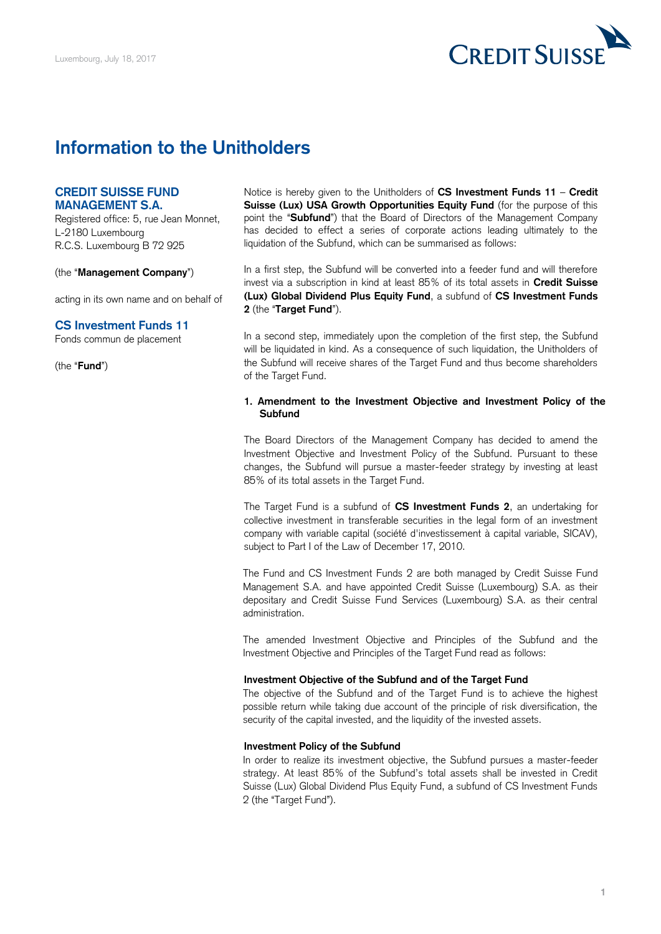

# **Information to the Unitholders**

# **CREDIT SUISSE FUND MANAGEMENT S.A.**

Registered office: 5, rue Jean Monnet, L-2180 Luxembourg R.C.S. Luxembourg B 72 925

(the "**Management Company**")

acting in its own name and on behalf of

## **CS Investment Funds 11**

Fonds commun de placement

(the "**Fund**")

 Notice is hereby given to the Unitholders of **CS Investment Funds 11** – **Credit**  Suisse (Lux) USA Growth Opportunities Equity Fund (for the purpose of this point the "**Subfund**") that the Board of Directors of the Management Company has decided to effect a series of corporate actions leading ultimately to the liquidation of the Subfund, which can be summarised as follows:

 In a first step, the Subfund will be converted into a feeder fund and will therefore invest via a subscription in kind at least 85% of its total assets in **Credit Suisse (Lux) Global Dividend Plus Equity Fund**, a subfund of **CS Investment Funds 2** (the "**Target Fund**").

 In a second step, immediately upon the completion of the first step, the Subfund will be liquidated in kind. As a consequence of such liquidation, the Unitholders of the Subfund will receive shares of the Target Fund and thus become shareholders of the Target Fund.

#### **1. Amendment to the Investment Objective and Investment Policy of the Subfund**

 The Board Directors of the Management Company has decided to amend the Investment Objective and Investment Policy of the Subfund. Pursuant to these changes, the Subfund will pursue a master-feeder strategy by investing at least 85% of its total assets in the Target Fund.

 The Target Fund is a subfund of **CS Investment Funds 2**, an undertaking for collective investment in transferable securities in the legal form of an investment company with variable capital (société d'investissement à capital variable, SICAV), subject to Part I of the Law of December 17, 2010.

 The Fund and CS Investment Funds 2 are both managed by Credit Suisse Fund Management S.A. and have appointed Credit Suisse (Luxembourg) S.A. as their depositary and Credit Suisse Fund Services (Luxembourg) S.A. as their central administration.

 The amended Investment Objective and Principles of the Subfund and the Investment Objective and Principles of the Target Fund read as follows:

#### **Investment Objective of the Subfund and of the Target Fund**

 The objective of the Subfund and of the Target Fund is to achieve the highest possible return while taking due account of the principle of risk diversification, the security of the capital invested, and the liquidity of the invested assets.

## **Investment Policy of the Subfund**

 In order to realize its investment objective, the Subfund pursues a master-feeder strategy. At least 85% of the Subfund's total assets shall be invested in Credit Suisse (Lux) Global Dividend Plus Equity Fund, a subfund of CS Investment Funds 2 (the "Target Fund").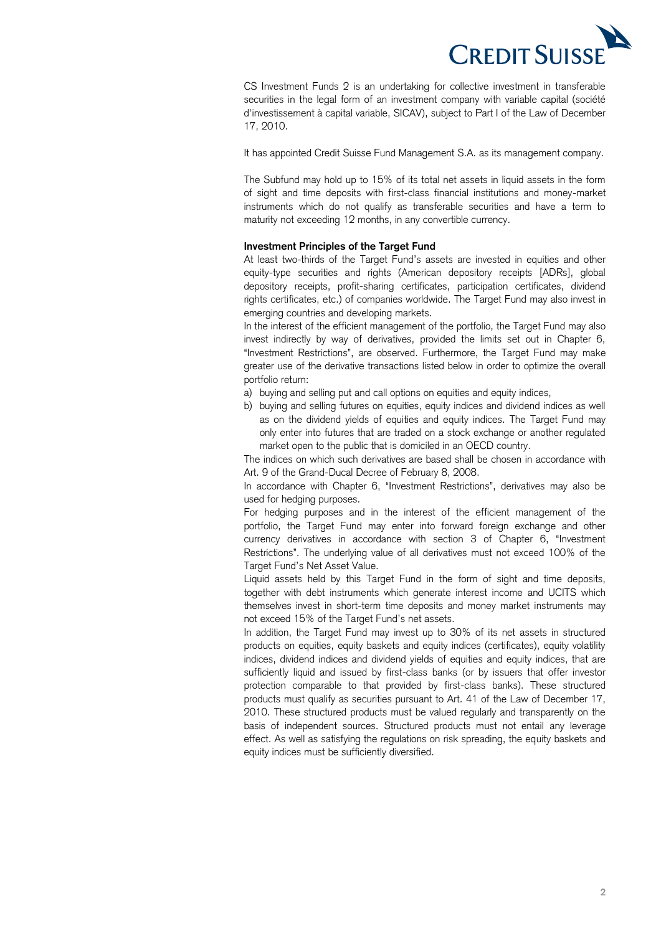

 CS Investment Funds 2 is an undertaking for collective investment in transferable securities in the legal form of an investment company with variable capital (société d'investissement à capital variable, SICAV), subject to Part I of the Law of December 17, 2010.

It has appointed Credit Suisse Fund Management S.A. as its management company.

 The Subfund may hold up to 15% of its total net assets in liquid assets in the form of sight and time deposits with first-class financial institutions and money-market instruments which do not qualify as transferable securities and have a term to maturity not exceeding 12 months, in any convertible currency.

## **Investment Principles of the Target Fund**

 At least two-thirds of the Target Fund's assets are invested in equities and other equity-type securities and rights (American depository receipts [ADRs], global rights certificates, etc.) of companies worldwide. The Target Fund may also invest in depository receipts, profit-sharing certificates, participation certificates, dividend emerging countries and developing markets.

 In the interest of the efficient management of the portfolio, the Target Fund may also invest indirectly by way of derivatives, provided the limits set out in Chapter 6, "Investment Restrictions", are observed. Furthermore, the Target Fund may make greater use of the derivative transactions listed below in order to optimize the overall portfolio return:

- a) buying and selling put and call options on equities and equity indices,
- b) buying and selling futures on equities, equity indices and dividend indices as well as on the dividend yields of equities and equity indices. The Target Fund may only enter into futures that are traded on a stock exchange or another regulated market open to the public that is domiciled in an OECD country.

 The indices on which such derivatives are based shall be chosen in accordance with Art. 9 of the Grand-Ducal Decree of February 8, 2008.

 In accordance with Chapter 6, "Investment Restrictions", derivatives may also be used for hedging purposes.

 For hedging purposes and in the interest of the efficient management of the portfolio, the Target Fund may enter into forward foreign exchange and other currency derivatives in accordance with section 3 of Chapter 6, "Investment Restrictions". The underlying value of all derivatives must not exceed 100% of the Target Fund's Net Asset Value.

 Liquid assets held by this Target Fund in the form of sight and time deposits, together with debt instruments which generate interest income and UCITS which themselves invest in short-term time deposits and money market instruments may not exceed 15% of the Target Fund's net assets.

 In addition, the Target Fund may invest up to 30% of its net assets in structured products on equities, equity baskets and equity indices (certificates), equity volatility indices, dividend indices and dividend yields of equities and equity indices, that are sufficiently liquid and issued by first-class banks (or by issuers that offer investor protection comparable to that provided by first-class banks). These structured products must qualify as securities pursuant to Art. 41 of the Law of December 17, 2010. These structured products must be valued regularly and transparently on the basis of independent sources. Structured products must not entail any leverage effect. As well as satisfying the regulations on risk spreading, the equity baskets and equity indices must be sufficiently diversified.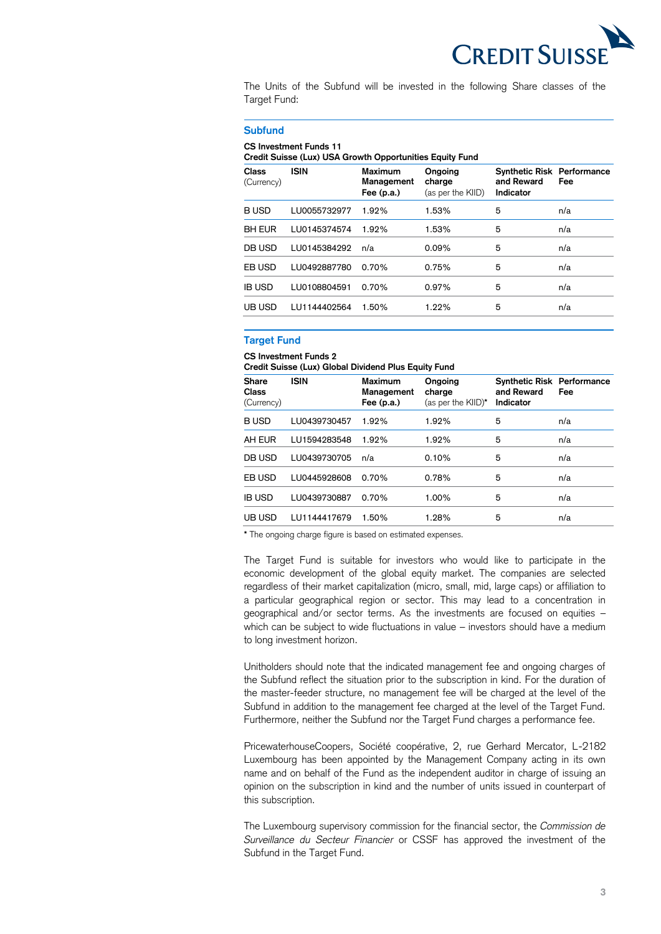

 The Units of the Subfund will be invested in the following Share classes of the Target Fund:

#### **Subfund**

#### **CS Investment Funds 11**

 **Credit Suisse (Lux) USA Growth Opportunities Equity Fund** 

| <b>Class</b><br>(Currency) | <b>ISIN</b>  | Maximum<br>Management<br>Fee $(p.a.)$ | Ongoing<br>charge<br>(as per the KIID) | <b>Synthetic Risk Performance</b><br>and Reward<br>Indicator | Fee |
|----------------------------|--------------|---------------------------------------|----------------------------------------|--------------------------------------------------------------|-----|
| <b>BUSD</b>                | LU0055732977 | 1.92%                                 | 1.53%                                  | 5                                                            | n/a |
| <b>BH EUR</b>              | LU0145374574 | 1.92%                                 | 1.53%                                  | 5                                                            | n/a |
| DB USD                     | LU0145384292 | n/a                                   | 0.09%                                  | 5                                                            | n/a |
| EB USD                     | LU0492887780 | 0.70%                                 | 0.75%                                  | 5                                                            | n/a |
| <b>IB USD</b>              | LU0108804591 | 0.70%                                 | 0.97%                                  | 5                                                            | n/a |
| UB USD                     | LU1144402564 | 1.50%                                 | 1.22%                                  | 5                                                            | n/a |

## **Target Fund**

# **CS Investment Funds 2**

 **Credit Suisse (Lux) Global Dividend Plus Equity Fund** 

| <b>Share</b><br><b>Class</b><br>(Currency) | <b>ISIN</b>  | <b>Maximum</b><br>Management<br>Fee $(p.a.)$ | Ongoing<br>charge<br>(as per the KIID)* | <b>Synthetic Risk Performance</b><br>and Reward<br>Indicator | Fee |
|--------------------------------------------|--------------|----------------------------------------------|-----------------------------------------|--------------------------------------------------------------|-----|
| <b>BUSD</b>                                | LU0439730457 | 1.92%                                        | 1.92%                                   | 5                                                            | n/a |
| AH EUR                                     | LU1594283548 | 1.92%                                        | 1.92%                                   | 5                                                            | n/a |
| DB USD                                     | LU0439730705 | n/a                                          | 0.10%                                   | 5                                                            | n/a |
| EB USD                                     | LU0445928608 | 0.70%                                        | 0.78%                                   | 5                                                            | n/a |
| <b>IB USD</b>                              | LU0439730887 | 0.70%                                        | 1.00%                                   | 5                                                            | n/a |
| UB USD                                     | LU1144417679 | 1.50%                                        | 1.28%                                   | 5                                                            | n/a |

**\*** The ongoing charge figure is based on estimated expenses.

 The Target Fund is suitable for investors who would like to participate in the economic development of the global equity market. The companies are selected regardless of their market capitalization (micro, small, mid, large caps) or affiliation to a particular geographical region or sector. This may lead to a concentration in geographical and/or sector terms. As the investments are focused on equities – which can be subject to wide fluctuations in value – investors should have a medium to long investment horizon.

 Unitholders should note that the indicated management fee and ongoing charges of the Subfund reflect the situation prior to the subscription in kind. For the duration of the master-feeder structure, no management fee will be charged at the level of the Subfund in addition to the management fee charged at the level of the Target Fund. Furthermore, neither the Subfund nor the Target Fund charges a performance fee.

 PricewaterhouseCoopers, Société coopérative, 2, rue Gerhard Mercator, L-2182 Luxembourg has been appointed by the Management Company acting in its own name and on behalf of the Fund as the independent auditor in charge of issuing an opinion on the subscription in kind and the number of units issued in counterpart of this subscription.

 The Luxembourg supervisory commission for the financial sector, the *Commission de Surveillance du Secteur Financier* or CSSF has approved the investment of the Subfund in the Target Fund.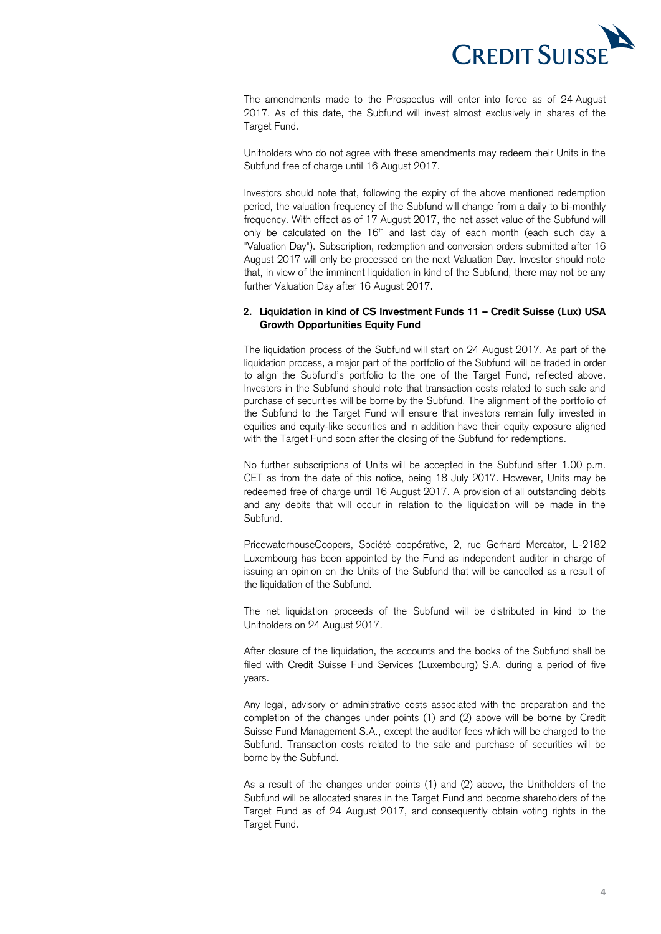

 The amendments made to the Prospectus will enter into force as of 24 August 2017. As of this date, the Subfund will invest almost exclusively in shares of the Target Fund.

 Unitholders who do not agree with these amendments may redeem their Units in the Subfund free of charge until 16 August 2017.

 Investors should note that, following the expiry of the above mentioned redemption period, the valuation frequency of the Subfund will change from a daily to bi-monthly frequency. With effect as of 17 August 2017, the net asset value of the Subfund will only be calculated on the 16<sup>th</sup> and last day of each month (each such day a "Valuation Day"). Subscription, redemption and conversion orders submitted after 16 August 2017 will only be processed on the next Valuation Day. Investor should note that, in view of the imminent liquidation in kind of the Subfund, there may not be any further Valuation Day after 16 August 2017.

## **2. Liquidation in kind of CS Investment Funds 11 – Credit Suisse (Lux) USA Growth Opportunities Equity Fund**

 The liquidation process of the Subfund will start on 24 August 2017. As part of the liquidation process, a major part of the portfolio of the Subfund will be traded in order to align the Subfund's portfolio to the one of the Target Fund, reflected above. Investors in the Subfund should note that transaction costs related to such sale and purchase of securities will be borne by the Subfund. The alignment of the portfolio of the Subfund to the Target Fund will ensure that investors remain fully invested in equities and equity-like securities and in addition have their equity exposure aligned with the Target Fund soon after the closing of the Subfund for redemptions.

 No further subscriptions of Units will be accepted in the Subfund after 1.00 p.m. CET as from the date of this notice, being 18 July 2017. However, Units may be redeemed free of charge until 16 August 2017. A provision of all outstanding debits and any debits that will occur in relation to the liquidation will be made in the Subfund.

 PricewaterhouseCoopers, Société coopérative, 2, rue Gerhard Mercator, L-2182 Luxembourg has been appointed by the Fund as independent auditor in charge of issuing an opinion on the Units of the Subfund that will be cancelled as a result of the liquidation of the Subfund.

 The net liquidation proceeds of the Subfund will be distributed in kind to the Unitholders on 24 August 2017.

 After closure of the liquidation, the accounts and the books of the Subfund shall be filed with Credit Suisse Fund Services (Luxembourg) S.A. during a period of five years.

 Any legal, advisory or administrative costs associated with the preparation and the completion of the changes under points (1) and (2) above will be borne by Credit Suisse Fund Management S.A., except the auditor fees which will be charged to the Subfund. Transaction costs related to the sale and purchase of securities will be borne by the Subfund.

 As a result of the changes under points (1) and (2) above, the Unitholders of the Subfund will be allocated shares in the Target Fund and become shareholders of the Target Fund as of 24 August 2017, and consequently obtain voting rights in the Target Fund.